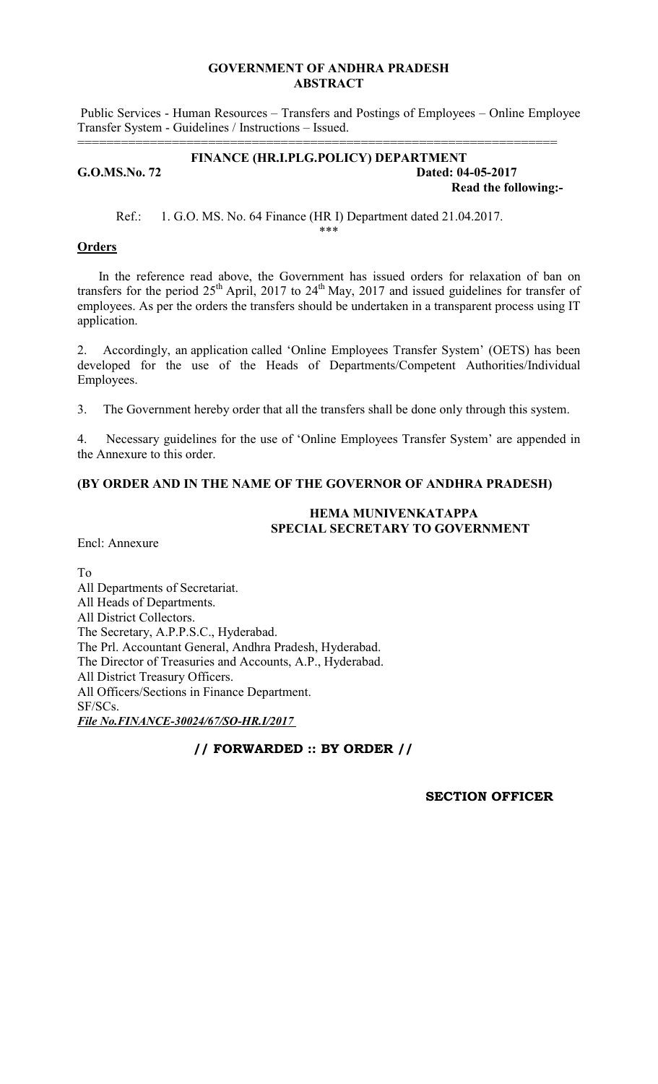### **GOVERNMENT OF ANDHRA PRADESH ABSTRACT**

 Public Services - Human Resources – Transfers and Postings of Employees – Online Employee Transfer System - Guidelines / Instructions – Issued.

### **FINANCE (HR.I.PLG.POLICY) DEPARTMENT G.O.MS.No. 72 Dated: 04-05-2017 Read the following:-**

==================================================================

Ref.: 1. G.O. MS. No. 64 Finance (HR I) Department dated 21.04.2017.

# **Orders**

 In the reference read above, the Government has issued orders for relaxation of ban on transfers for the period  $25<sup>th</sup>$  April, 2017 to  $24<sup>th</sup>$  May, 2017 and issued guidelines for transfer of employees. As per the orders the transfers should be undertaken in a transparent process using IT application.

\*\*\*

2. Accordingly, an application called 'Online Employees Transfer System' (OETS) has been developed for the use of the Heads of Departments/Competent Authorities/Individual Employees.

3. The Government hereby order that all the transfers shall be done only through this system.

4. Necessary guidelines for the use of 'Online Employees Transfer System' are appended in the Annexure to this order.

# **(BY ORDER AND IN THE NAME OF THE GOVERNOR OF ANDHRA PRADESH)**

## **HEMA MUNIVENKATAPPA SPECIAL SECRETARY TO GOVERNMENT**

Encl: Annexure

To All Departments of Secretariat. All Heads of Departments. All District Collectors. The Secretary, A.P.P.S.C., Hyderabad. The Prl. Accountant General, Andhra Pradesh, Hyderabad. The Director of Treasuries and Accounts, A.P., Hyderabad. All District Treasury Officers. All Officers/Sections in Finance Department. SF/SCs. *File No.FINANCE-30024/67/SO-HR.I/2017* 

# **// FORWARDED :: BY ORDER //**

**SECTION OFFICER**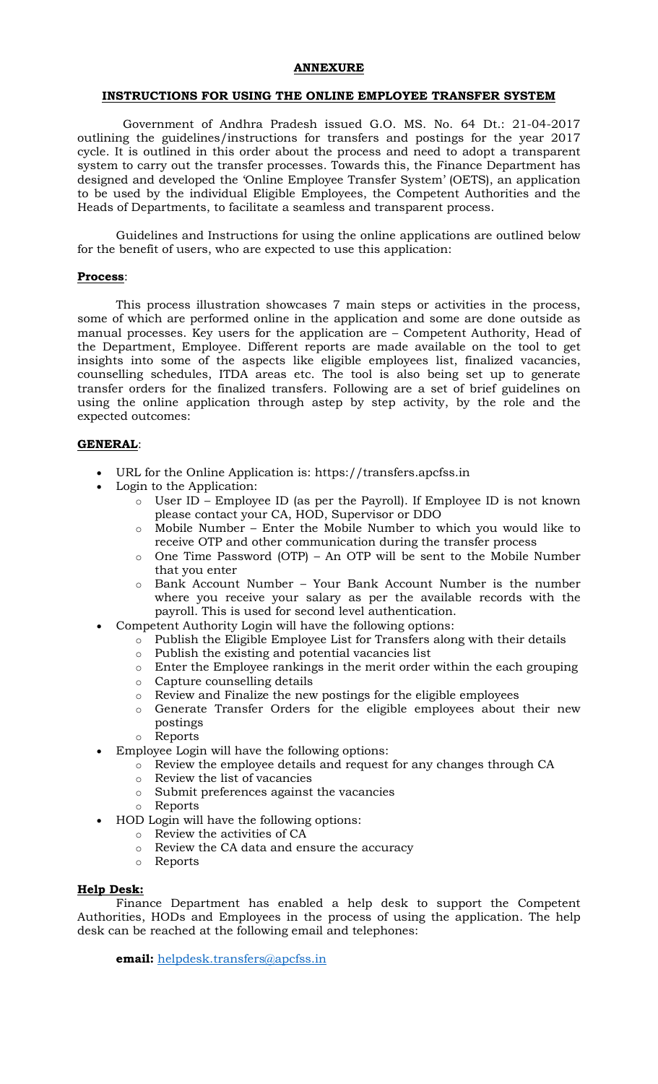#### **ANNEXURE**

### **INSTRUCTIONS FOR USING THE ONLINE EMPLOYEE TRANSFER SYSTEM**

 Government of Andhra Pradesh issued G.O. MS. No. 64 Dt.: 21-04-2017 outlining the guidelines/instructions for transfers and postings for the year 2017 cycle. It is outlined in this order about the process and need to adopt a transparent system to carry out the transfer processes. Towards this, the Finance Department has designed and developed the 'Online Employee Transfer System' (OETS), an application to be used by the individual Eligible Employees, the Competent Authorities and the Heads of Departments, to facilitate a seamless and transparent process.

Guidelines and Instructions for using the online applications are outlined below for the benefit of users, who are expected to use this application:

### **Process**:

This process illustration showcases 7 main steps or activities in the process, some of which are performed online in the application and some are done outside as manual processes. Key users for the application are – Competent Authority, Head of the Department, Employee. Different reports are made available on the tool to get insights into some of the aspects like eligible employees list, finalized vacancies, counselling schedules, ITDA areas etc. The tool is also being set up to generate transfer orders for the finalized transfers. Following are a set of brief guidelines on using the online application through astep by step activity, by the role and the expected outcomes:

### **GENERAL**:

- URL for the Online Application is: https://transfers.apcfss.in
- Login to the Application:
	- o User ID Employee ID (as per the Payroll). If Employee ID is not known please contact your CA, HOD, Supervisor or DDO
	- o Mobile Number Enter the Mobile Number to which you would like to receive OTP and other communication during the transfer process
	- o One Time Password (OTP) An OTP will be sent to the Mobile Number that you enter
	- o Bank Account Number Your Bank Account Number is the number where you receive your salary as per the available records with the payroll. This is used for second level authentication.
	- Competent Authority Login will have the following options:
		- o Publish the Eligible Employee List for Transfers along with their details
		- o Publish the existing and potential vacancies list
		- o Enter the Employee rankings in the merit order within the each grouping
		- o Capture counselling details
		- o Review and Finalize the new postings for the eligible employees
		- o Generate Transfer Orders for the eligible employees about their new postings
		- o Reports
- Employee Login will have the following options:
	- o Review the employee details and request for any changes through CA
	- o Review the list of vacancies
	- o Submit preferences against the vacancies
	- o Reports
- HOD Login will have the following options:
	- o Review the activities of CA
	- o Review the CA data and ensure the accuracy
	- o Reports

#### **Help Desk:**

Finance Department has enabled a help desk to support the Competent Authorities, HODs and Employees in the process of using the application. The help desk can be reached at the following email and telephones:

**email:** helpdesk.transfers@apcfss.in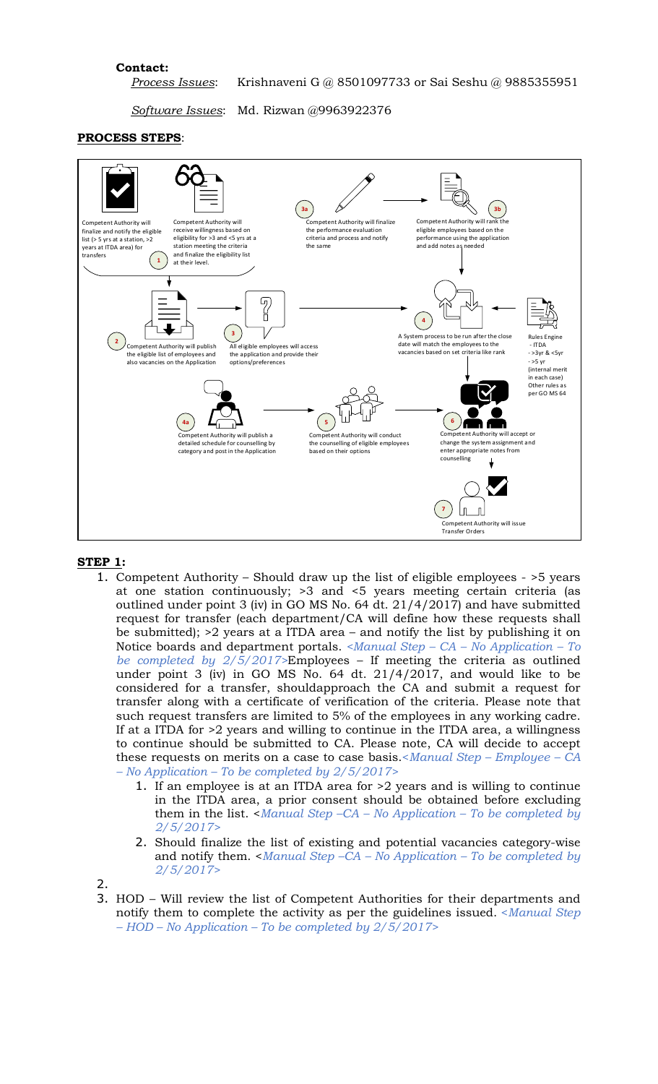### **Contact:**

*Process Issues*: Krishnaveni G @ 8501097733 or Sai Seshu @ 9885355951

*Software Issues*: Md. Rizwan @9963922376

#### **PROCESS STEPS**:



#### **STEP 1:**

- 1. Competent Authority Should draw up the list of eligible employees >5 years at one station continuously; >3 and <5 years meeting certain criteria (as outlined under point 3 (iv) in GO MS No. 64 dt. 21/4/2017) and have submitted request for transfer (each department/CA will define how these requests shall be submitted); >2 years at a ITDA area – and notify the list by publishing it on Notice boards and department portals. *<Manual Step – CA – No Application – To be completed by 2/5/2017>*Employees – If meeting the criteria as outlined under point 3 (iv) in GO MS No. 64 dt. 21/4/2017, and would like to be considered for a transfer, shouldapproach the CA and submit a request for transfer along with a certificate of verification of the criteria. Please note that such request transfers are limited to 5% of the employees in any working cadre. If at a ITDA for >2 years and willing to continue in the ITDA area, a willingness to continue should be submitted to CA. Please note, CA will decide to accept these requests on merits on a case to case basis.<*Manual Step – Employee – CA – No Application – To be completed by 2/5/2017>*
	- 1. If an employee is at an ITDA area for >2 years and is willing to continue in the ITDA area, a prior consent should be obtained before excluding them in the list. <*Manual Step –CA – No Application – To be completed by 2/5/2017>*
	- 2. Should finalize the list of existing and potential vacancies category-wise and notify them. <*Manual Step –CA – No Application – To be completed by 2/5/2017>*
- 2.
- 3. HOD Will review the list of Competent Authorities for their departments and notify them to complete the activity as per the guidelines issued. <*Manual Step – HOD – No Application – To be completed by 2/5/2017>*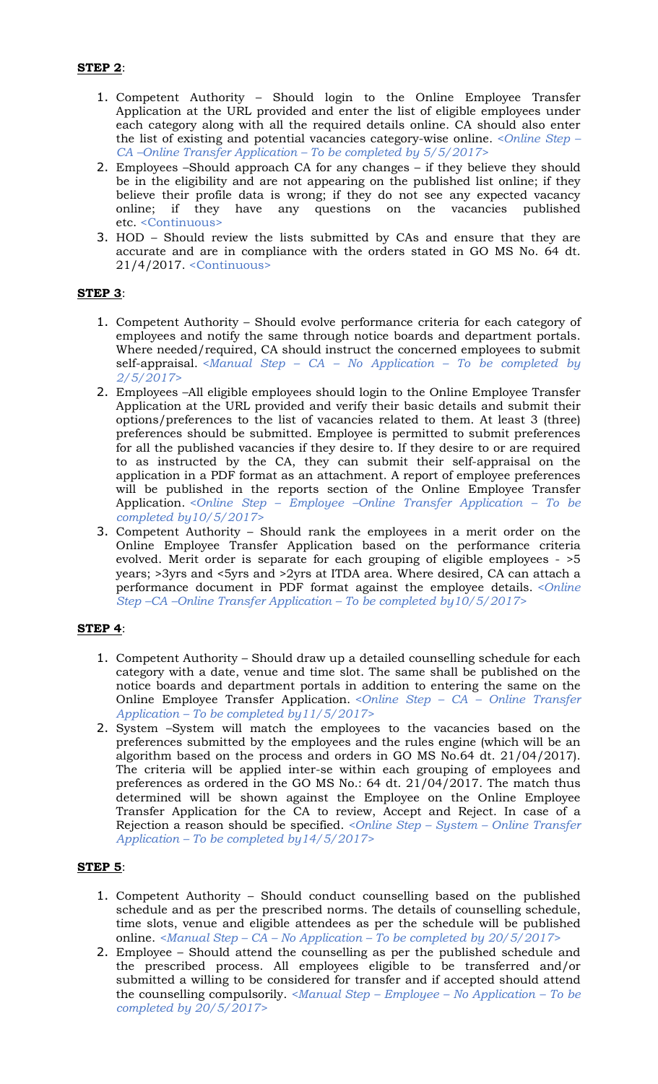- 1. Competent Authority Should login to the Online Employee Transfer Application at the URL provided and enter the list of eligible employees under each category along with all the required details online. CA should also enter the list of existing and potential vacancies category-wise online. *<Online Step – CA –Online Transfer Application – To be completed by 5/5/2017>*
- 2. Employees –Should approach CA for any changes if they believe they should be in the eligibility and are not appearing on the published list online; if they believe their profile data is wrong; if they do not see any expected vacancy online; if they have any questions on the vacancies published etc. <Continuous>
- 3. HOD Should review the lists submitted by CAs and ensure that they are accurate and are in compliance with the orders stated in GO MS No. 64 dt. 21/4/2017. <Continuous>

### **STEP 3**:

- 1. Competent Authority Should evolve performance criteria for each category of employees and notify the same through notice boards and department portals. Where needed/required, CA should instruct the concerned employees to submit self-appraisal. *<Manual Step – CA – No Application – To be completed by 2/5/2017>*
- 2. Employees –All eligible employees should login to the Online Employee Transfer Application at the URL provided and verify their basic details and submit their options/preferences to the list of vacancies related to them. At least 3 (three) preferences should be submitted. Employee is permitted to submit preferences for all the published vacancies if they desire to. If they desire to or are required to as instructed by the CA, they can submit their self-appraisal on the application in a PDF format as an attachment. A report of employee preferences will be published in the reports section of the Online Employee Transfer Application. *<Online Step – Employee –Online Transfer Application – To be completed by10/5/2017>*
- 3. Competent Authority Should rank the employees in a merit order on the Online Employee Transfer Application based on the performance criteria evolved. Merit order is separate for each grouping of eligible employees - >5 years; >3yrs and <5yrs and >2yrs at ITDA area. Where desired, CA can attach a performance document in PDF format against the employee details. *<Online Step –CA –Online Transfer Application – To be completed by10/5/2017>*

### **STEP 4**:

- 1. Competent Authority Should draw up a detailed counselling schedule for each category with a date, venue and time slot. The same shall be published on the notice boards and department portals in addition to entering the same on the Online Employee Transfer Application. *<Online Step – CA – Online Transfer Application – To be completed by11/5/2017>*
- 2. System –System will match the employees to the vacancies based on the preferences submitted by the employees and the rules engine (which will be an algorithm based on the process and orders in GO MS No.64 dt. 21/04/2017). The criteria will be applied inter-se within each grouping of employees and preferences as ordered in the GO MS No.: 64 dt. 21/04/2017. The match thus determined will be shown against the Employee on the Online Employee Transfer Application for the CA to review, Accept and Reject. In case of a Rejection a reason should be specified. *<Online Step – System – Online Transfer Application – To be completed by14/5/2017>*

### **STEP 5**:

- 1. Competent Authority Should conduct counselling based on the published schedule and as per the prescribed norms. The details of counselling schedule, time slots, venue and eligible attendees as per the schedule will be published online. *<Manual Step – CA – No Application – To be completed by 20/5/2017>*
- 2. Employee Should attend the counselling as per the published schedule and the prescribed process. All employees eligible to be transferred and/or submitted a willing to be considered for transfer and if accepted should attend the counselling compulsorily. *<Manual Step – Employee – No Application – To be completed by 20/5/2017>*